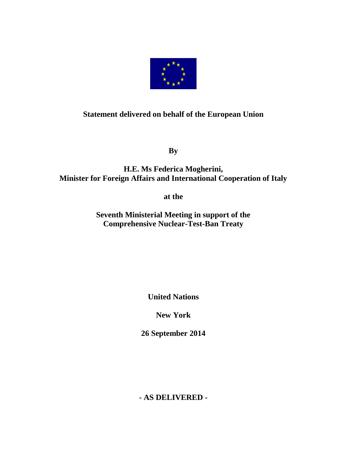

## **Statement delivered on behalf of the European Union**

**By**

## **H.E. Ms Federica Mogherini, Minister for Foreign Affairs and International Cooperation of Italy**

**at the**

**Seventh Ministerial Meeting in support of the Comprehensive Nuclear-Test-Ban Treaty** 

**United Nations**

**New York**

**26 September 2014**

**- AS DELIVERED -**